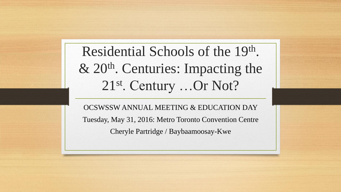Residential Schools of the 19th. & 20th. Centuries: Impacting the 21st. Century …Or Not?

OCSWSSW ANNUAL MEETING & EDUCATION DAY Tuesday, May 31, 2016: Metro Toronto Convention Centre Cheryle Partridge / Baybaamoosay-Kwe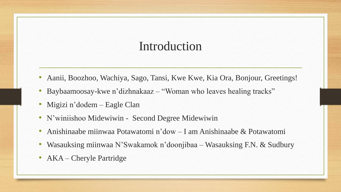- Aanii, Boozhoo, Wachiya, Sago, Tansi, Kwe Kwe, Kia Ora, Bonjour, Greetings!
- Baybaamoosay-kwe n'dizhnakaaz "Woman who leaves healing tracks"
- Migizi n'dodem Eagle Clan
- N'winiishoo Midewiwin Second Degree Midewiwin
- Anishinaabe miinwaa Potawatomi n'dow I am Anishinaabe & Potawatomi
- Wasauksing miinwaa N'Swakamok n'doonjibaa Wasauksing F.N. & Sudbury
- AKA Cheryle Partridge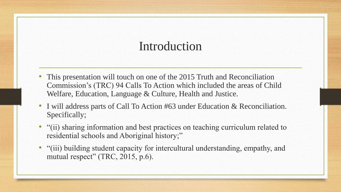- This presentation will touch on one of the 2015 Truth and Reconciliation Commission's (TRC) 94 Calls To Action which included the areas of Child Welfare, Education, Language & Culture, Health and Justice.
- I will address parts of Call To Action #63 under Education & Reconciliation. Specifically;
- "(ii) sharing information and best practices on teaching curriculum related to residential schools and Aboriginal history;"
- "(iii) building student capacity for intercultural understanding, empathy, and mutual respect" (TRC, 2015, p.6).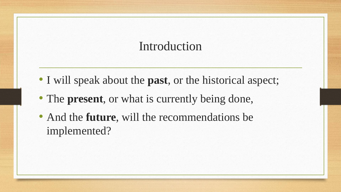- I will speak about the **past**, or the historical aspect;
- The **present**, or what is currently being done,
- And the **future**, will the recommendations be implemented?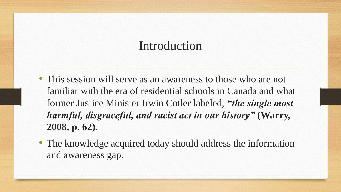- This session will serve as an awareness to those who are not familiar with the era of residential schools in Canada and what former Justice Minister Irwin Cotler labeled, *"the single most harmful, disgraceful, and racist act in our history"* **(Warry, 2008, p. 62).**
- The knowledge acquired today should address the information and awareness gap.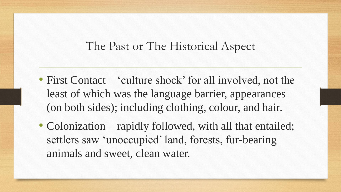- First Contact 'culture shock' for all involved, not the least of which was the language barrier, appearances (on both sides); including clothing, colour, and hair.
- Colonization rapidly followed, with all that entailed; settlers saw 'unoccupied' land, forests, fur-bearing animals and sweet, clean water.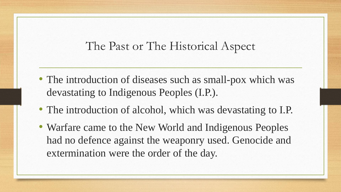- The introduction of diseases such as small-pox which was devastating to Indigenous Peoples (I.P.).
- The introduction of alcohol, which was devastating to I.P.
- Warfare came to the New World and Indigenous Peoples had no defence against the weaponry used. Genocide and extermination were the order of the day.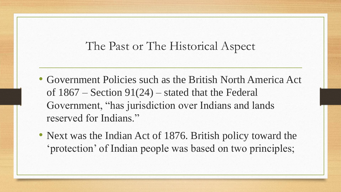- Government Policies such as the British North America Act of  $1867$  – Section  $91(24)$  – stated that the Federal Government, "has jurisdiction over Indians and lands reserved for Indians."
- Next was the Indian Act of 1876. British policy toward the 'protection' of Indian people was based on two principles;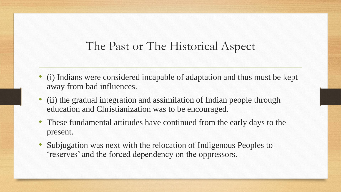- (i) Indians were considered incapable of adaptation and thus must be kept away from bad influences.
- (ii) the gradual integration and assimilation of Indian people through education and Christianization was to be encouraged.
- These fundamental attitudes have continued from the early days to the present.
- Subjugation was next with the relocation of Indigenous Peoples to 'reserves' and the forced dependency on the oppressors.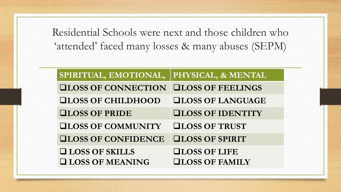Residential Schools were next and those children who 'attended' faced many losses & many abuses (SEPM)

| SPIRITUAL, EMOTIONAL,      | PHYSICAL, & MENTAL       |
|----------------------------|--------------------------|
| <b>QLOSS OF CONNECTION</b> | <b>QLOSS OF FEELINGS</b> |
| <b>QLOSS OF CHILDHOOD</b>  | <b>QLOSS OF LANGUAGE</b> |
| <b>QLOSS OF PRIDE</b>      | <b>QLOSS OF IDENTITY</b> |
| <b>QLOSS OF COMMUNITY</b>  | <b>QLOSS OF TRUST</b>    |
| <b>QLOSS OF CONFIDENCE</b> | <b>QLOSS OF SPIRIT</b>   |
| <b>QLOSS OF SKILLS</b>     | <b>QLOSS OF LIFE</b>     |
| <b>LOSS OF MEANING</b>     | <b>QLOSS OF FAMILY</b>   |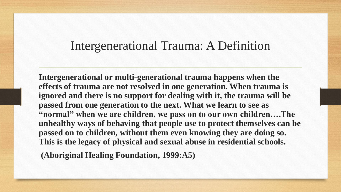#### Intergenerational Trauma: A Definition

**Intergenerational or multi-generational trauma happens when the effects of trauma are not resolved in one generation. When trauma is ignored and there is no support for dealing with it, the trauma will be passed from one generation to the next. What we learn to see as "normal" when we are children, we pass on to our own children….The unhealthy ways of behaving that people use to protect themselves can be passed on to children, without them even knowing they are doing so. This is the legacy of physical and sexual abuse in residential schools.**

**(Aboriginal Healing Foundation, 1999:A5)**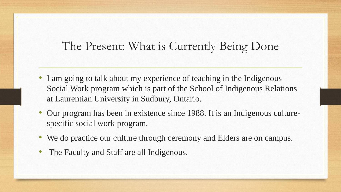## The Present: What is Currently Being Done

- I am going to talk about my experience of teaching in the Indigenous Social Work program which is part of the School of Indigenous Relations at Laurentian University in Sudbury, Ontario.
- Our program has been in existence since 1988. It is an Indigenous culturespecific social work program.
- We do practice our culture through ceremony and Elders are on campus.
- The Faculty and Staff are all Indigenous.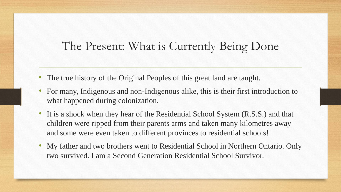## The Present: What is Currently Being Done

- The true history of the Original Peoples of this great land are taught.
- For many, Indigenous and non-Indigenous alike, this is their first introduction to what happened during colonization.
- It is a shock when they hear of the Residential School System (R.S.S.) and that children were ripped from their parents arms and taken many kilometres away and some were even taken to different provinces to residential schools!
- My father and two brothers went to Residential School in Northern Ontario. Only two survived. I am a Second Generation Residential School Survivor.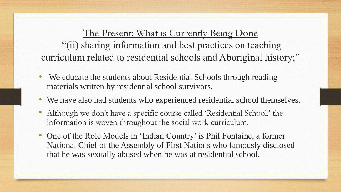The Present: What is Currently Being Done "(ii) sharing information and best practices on teaching curriculum related to residential schools and Aboriginal history;"

- We educate the students about Residential Schools through reading materials written by residential school survivors.
- We have also had students who experienced residential school themselves.
- Although we don't have a specific course called 'Residential School,' the information is woven throughout the social work curriculum.
- One of the Role Models in 'Indian Country' is Phil Fontaine, a former National Chief of the Assembly of First Nations who famously disclosed that he was sexually abused when he was at residential school.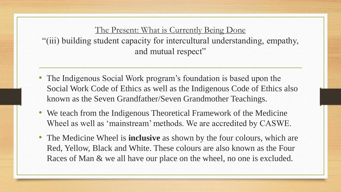The Present: What is Currently Being Done "(iii) building student capacity for intercultural understanding, empathy, and mutual respect"

- The Indigenous Social Work program's foundation is based upon the Social Work Code of Ethics as well as the Indigenous Code of Ethics also known as the Seven Grandfather/Seven Grandmother Teachings.
- We teach from the Indigenous Theoretical Framework of the Medicine Wheel as well as 'mainstream' methods. We are accredited by CASWE.
- The Medicine Wheel is **inclusive** as shown by the four colours, which are Red, Yellow, Black and White. These colours are also known as the Four Races of Man & we all have our place on the wheel, no one is excluded.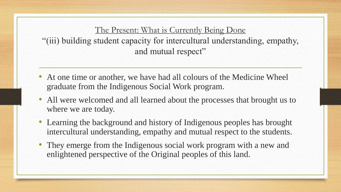The Present: What is Currently Being Done "(iii) building student capacity for intercultural understanding, empathy, and mutual respect"

- At one time or another, we have had all colours of the Medicine Wheel graduate from the Indigenous Social Work program.
- All were welcomed and all learned about the processes that brought us to where we are today.
- Learning the background and history of Indigenous peoples has brought intercultural understanding, empathy and mutual respect to the students.
- They emerge from the Indigenous social work program with a new and enlightened perspective of the Original peoples of this land.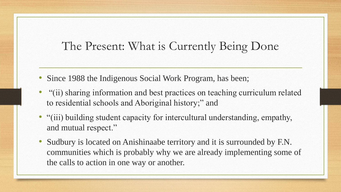## The Present: What is Currently Being Done

- Since 1988 the Indigenous Social Work Program, has been;
- "(ii) sharing information and best practices on teaching curriculum related to residential schools and Aboriginal history;" and
- "(iii) building student capacity for intercultural understanding, empathy, and mutual respect."
- Sudbury is located on Anishinaabe territory and it is surrounded by F.N. communities which is probably why we are already implementing some of the calls to action in one way or another.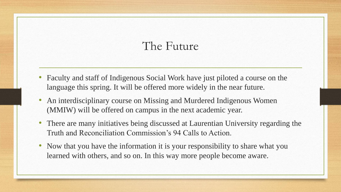## The Future

- Faculty and staff of Indigenous Social Work have just piloted a course on the language this spring. It will be offered more widely in the near future.
- An interdisciplinary course on Missing and Murdered Indigenous Women (MMIW) will be offered on campus in the next academic year.
- There are many initiatives being discussed at Laurentian University regarding the Truth and Reconciliation Commission's 94 Calls to Action.
- Now that you have the information it is your responsibility to share what you learned with others, and so on. In this way more people become aware.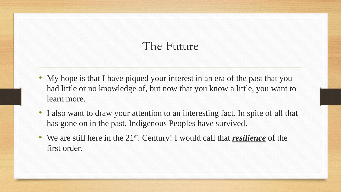## The Future

- My hope is that I have piqued your interest in an era of the past that you had little or no knowledge of, but now that you know a little, you want to learn more.
- I also want to draw your attention to an interesting fact. In spite of all that has gone on in the past, Indigenous Peoples have survived.
- We are still here in the 21<sup>st</sup>. Century! I would call that *resilience* of the first order.